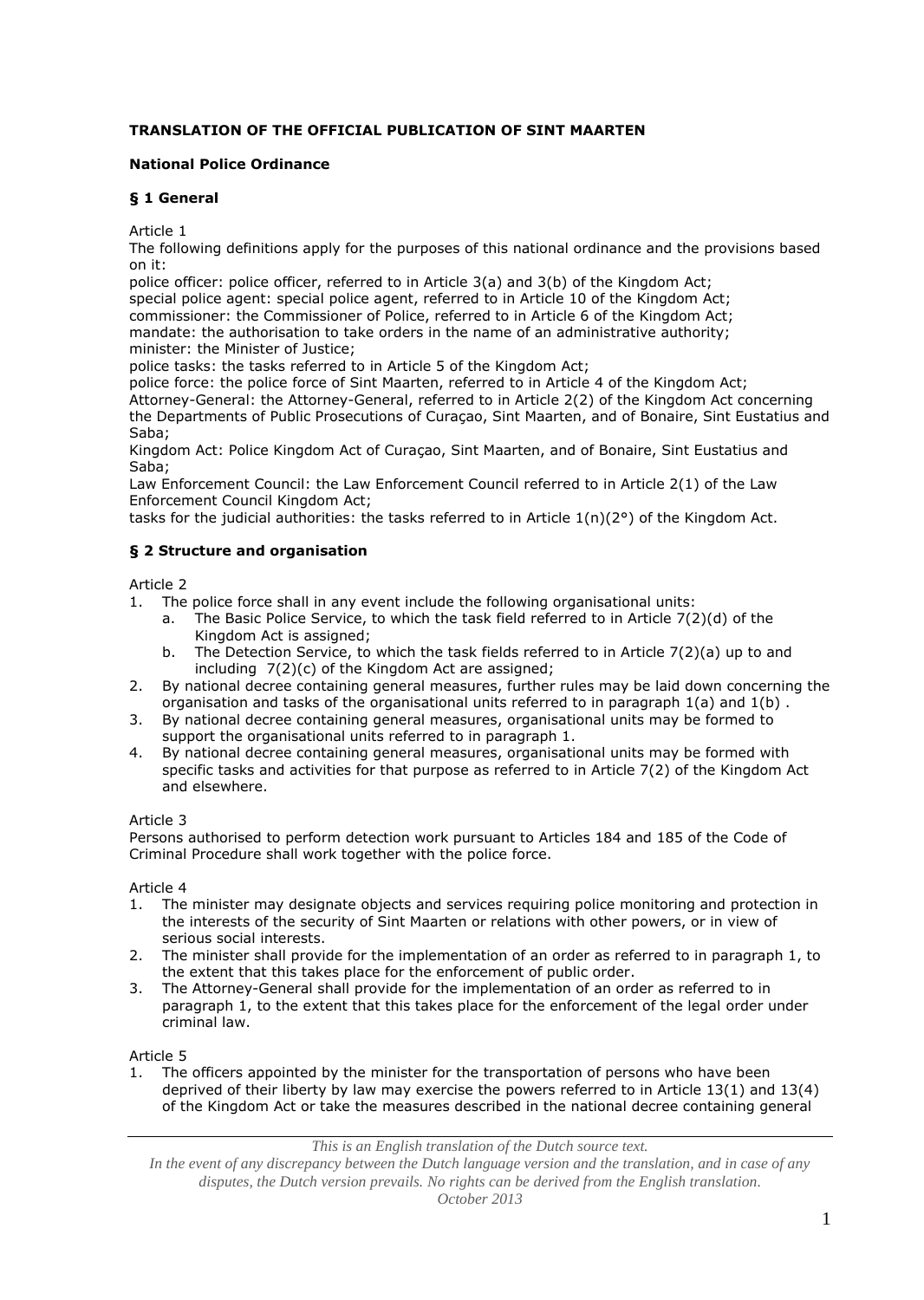# **TRANSLATION OF THE OFFICIAL PUBLICATION OF SINT MAARTEN**

### **National Police Ordinance**

### **§ 1 General**

Article 1

The following definitions apply for the purposes of this national ordinance and the provisions based on it:

police officer: police officer, referred to in Article 3(a) and 3(b) of the Kingdom Act; special police agent: special police agent, referred to in Article 10 of the Kingdom Act; commissioner: the Commissioner of Police, referred to in Article 6 of the Kingdom Act; mandate: the authorisation to take orders in the name of an administrative authority; minister: the Minister of Justice;

police tasks: the tasks referred to in Article 5 of the Kingdom Act;

police force: the police force of Sint Maarten, referred to in Article 4 of the Kingdom Act; Attorney-General: the Attorney-General, referred to in Article 2(2) of the Kingdom Act concerning the Departments of Public Prosecutions of Curaçao, Sint Maarten, and of Bonaire, Sint Eustatius and Saba;

Kingdom Act: Police Kingdom Act of Curaçao, Sint Maarten, and of Bonaire, Sint Eustatius and Saba;

Law Enforcement Council: the Law Enforcement Council referred to in Article 2(1) of the Law Enforcement Council Kingdom Act;

tasks for the judicial authorities: the tasks referred to in Article 1(n)(2°) of the Kingdom Act.

## **§ 2 Structure and organisation**

Article 2

- 1. The police force shall in any event include the following organisational units:
	- a. The Basic Police Service, to which the task field referred to in Article 7(2)(d) of the Kingdom Act is assigned;
	- b. The Detection Service, to which the task fields referred to in Article 7(2)(a) up to and including 7(2)(c) of the Kingdom Act are assigned;
- 2. By national decree containing general measures, further rules may be laid down concerning the organisation and tasks of the organisational units referred to in paragraph 1(a) and 1(b) .
- 3. By national decree containing general measures, organisational units may be formed to support the organisational units referred to in paragraph 1.
- 4. By national decree containing general measures, organisational units may be formed with specific tasks and activities for that purpose as referred to in Article 7(2) of the Kingdom Act and elsewhere.

## Article 3

Persons authorised to perform detection work pursuant to Articles 184 and 185 of the Code of Criminal Procedure shall work together with the police force.

Article 4

- 1. The minister may designate objects and services requiring police monitoring and protection in the interests of the security of Sint Maarten or relations with other powers, or in view of serious social interests.
- 2. The minister shall provide for the implementation of an order as referred to in paragraph 1, to the extent that this takes place for the enforcement of public order.
- 3. The Attorney-General shall provide for the implementation of an order as referred to in paragraph 1, to the extent that this takes place for the enforcement of the legal order under criminal law.

Article 5

1. The officers appointed by the minister for the transportation of persons who have been deprived of their liberty by law may exercise the powers referred to in Article 13(1) and 13(4) of the Kingdom Act or take the measures described in the national decree containing general

*This is an English translation of the Dutch source text.*

*In the event of any discrepancy between the Dutch language version and the translation, and in case of any disputes, the Dutch version prevails. No rights can be derived from the English translation. October 2013*